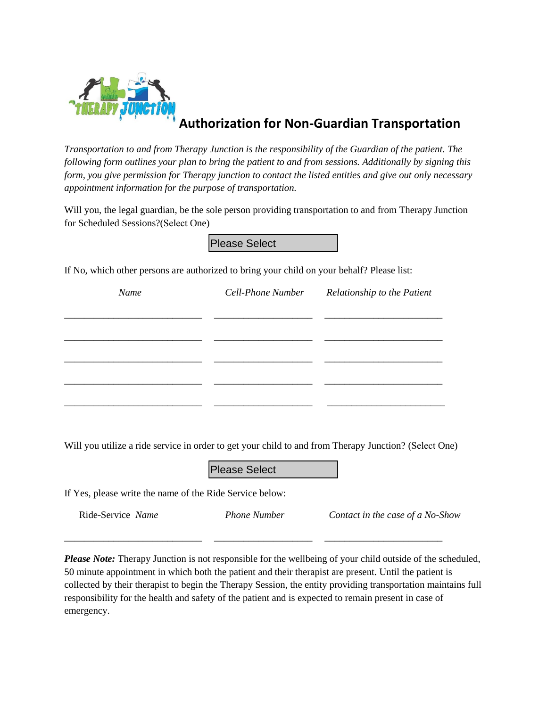

## **Authorization for Non-Guardian Transportation**

*Transportation to and from Therapy Junction is the responsibility of the Guardian of the patient. The following form outlines your plan to bring the patient to and from sessions. Additionally by signing this form, you give permission for Therapy junction to contact the listed entities and give out only necessary appointment information for the purpose of transportation.* 

Will you, the legal guardian, be the sole person providing transportation to and from Therapy Junction for Scheduled Sessions?(Select One)

| Name | Cell-Phone Number Relationship to the Patient |
|------|-----------------------------------------------|
|      |                                               |
|      |                                               |
|      |                                               |
|      |                                               |
|      |                                               |

If Yes, please write the name of the Ride Service below:

\_\_\_\_\_\_\_\_\_\_\_\_\_\_\_\_\_\_\_\_\_\_\_\_\_\_\_\_ \_\_\_\_\_\_\_\_\_\_\_\_\_\_\_\_\_\_\_\_ \_\_\_\_\_\_\_\_\_\_\_\_\_\_\_\_\_\_\_\_\_\_\_\_

Ride-Service *Name Phone Number Contact in the case of a No-Show* 

*Please Note:* Therapy Junction is not responsible for the wellbeing of your child outside of the scheduled, 50 minute appointment in which both the patient and their therapist are present. Until the patient is collected by their therapist to begin the Therapy Session, the entity providing transportation maintains full responsibility for the health and safety of the patient and is expected to remain present in case of emergency.